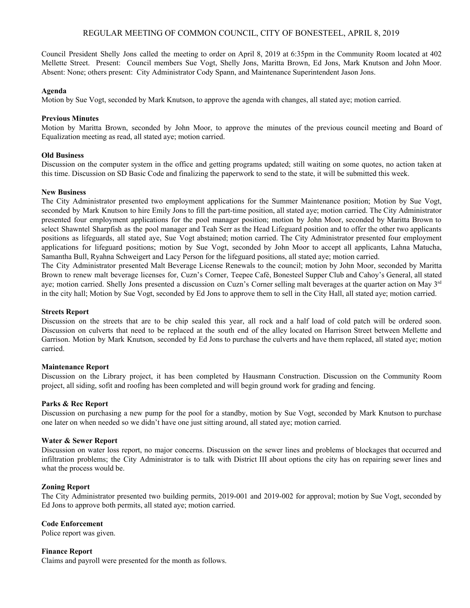# REGULAR MEETING OF COMMON COUNCIL, CITY OF BONESTEEL, APRIL 8, 2019

Council President Shelly Jons called the meeting to order on April 8, 2019 at 6:35pm in the Community Room located at 402 Mellette Street. Present: Council members Sue Vogt, Shelly Jons, Maritta Brown, Ed Jons, Mark Knutson and John Moor. Absent: None; others present: City Administrator Cody Spann, and Maintenance Superintendent Jason Jons.

### **Agenda**

Motion by Sue Vogt, seconded by Mark Knutson, to approve the agenda with changes, all stated aye; motion carried.

# **Previous Minutes**

Motion by Maritta Brown, seconded by John Moor, to approve the minutes of the previous council meeting and Board of Equalization meeting as read, all stated aye; motion carried.

### **Old Business**

Discussion on the computer system in the office and getting programs updated; still waiting on some quotes, no action taken at this time. Discussion on SD Basic Code and finalizing the paperwork to send to the state, it will be submitted this week.

### **New Business**

The City Administrator presented two employment applications for the Summer Maintenance position; Motion by Sue Vogt, seconded by Mark Knutson to hire Emily Jons to fill the part-time position, all stated aye; motion carried. The City Administrator presented four employment applications for the pool manager position; motion by John Moor, seconded by Maritta Brown to select Shawntel Sharpfish as the pool manager and Teah Serr as the Head Lifeguard position and to offer the other two applicants positions as lifeguards, all stated aye, Sue Vogt abstained; motion carried. The City Administrator presented four employment applications for lifeguard positions; motion by Sue Vogt, seconded by John Moor to accept all applicants, Lahna Matucha, Samantha Bull, Ryahna Schweigert and Lacy Person for the lifeguard positions, all stated aye; motion carried.

The City Administrator presented Malt Beverage License Renewals to the council; motion by John Moor, seconded by Maritta Brown to renew malt beverage licenses for, Cuzn's Corner, Teepee Café, Bonesteel Supper Club and Cahoy's General, all stated aye; motion carried. Shelly Jons presented a discussion on Cuzn's Corner selling malt beverages at the quarter action on May  $3<sup>rd</sup>$ in the city hall; Motion by Sue Vogt, seconded by Ed Jons to approve them to sell in the City Hall, all stated aye; motion carried.

#### **Streets Report**

Discussion on the streets that are to be chip sealed this year, all rock and a half load of cold patch will be ordered soon. Discussion on culverts that need to be replaced at the south end of the alley located on Harrison Street between Mellette and Garrison. Motion by Mark Knutson, seconded by Ed Jons to purchase the culverts and have them replaced, all stated aye; motion carried.

### **Maintenance Report**

Discussion on the Library project, it has been completed by Hausmann Construction. Discussion on the Community Room project, all siding, sofit and roofing has been completed and will begin ground work for grading and fencing.

#### **Parks & Rec Report**

Discussion on purchasing a new pump for the pool for a standby, motion by Sue Vogt, seconded by Mark Knutson to purchase one later on when needed so we didn't have one just sitting around, all stated aye; motion carried.

#### **Water & Sewer Report**

Discussion on water loss report, no major concerns. Discussion on the sewer lines and problems of blockages that occurred and infiltration problems; the City Administrator is to talk with District III about options the city has on repairing sewer lines and what the process would be.

#### **Zoning Report**

The City Administrator presented two building permits, 2019-001 and 2019-002 for approval; motion by Sue Vogt, seconded by Ed Jons to approve both permits, all stated aye; motion carried.

# **Code Enforcement**

Police report was given.

#### **Finance Report**

Claims and payroll were presented for the month as follows.